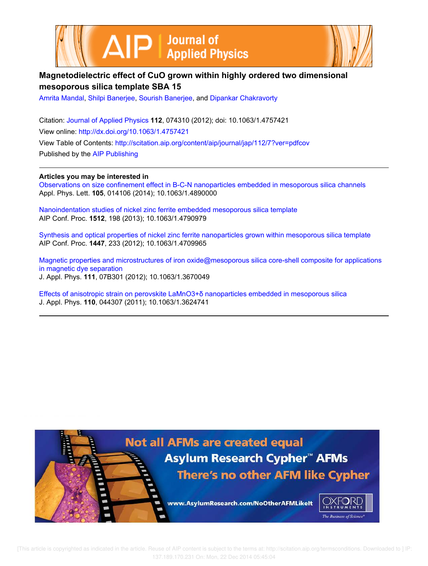



# **Magnetodielectric effect of CuO grown within highly ordered two dimensional mesoporous silica template SBA 15**

Amrita Mandal, Shilpi Banerjee, Sourish Banerjee, and Dipankar Chakravorty

Citation: Journal of Applied Physics **112**, 074310 (2012); doi: 10.1063/1.4757421 View online: http://dx.doi.org/10.1063/1.4757421 View Table of Contents: http://scitation.aip.org/content/aip/journal/jap/112/7?ver=pdfcov Published by the AIP Publishing

**Articles you may be interested in**

Observations on size confinement effect in B-C-N nanoparticles embedded in mesoporous silica channels Appl. Phys. Lett. **105**, 014106 (2014); 10.1063/1.4890000

Nanoindentation studies of nickel zinc ferrite embedded mesoporous silica template AIP Conf. Proc. **1512**, 198 (2013); 10.1063/1.4790979

Synthesis and optical properties of nickel zinc ferrite nanoparticles grown within mesoporous silica template AIP Conf. Proc. **1447**, 233 (2012); 10.1063/1.4709965

Magnetic properties and microstructures of iron oxide@mesoporous silica core-shell composite for applications in magnetic dye separation J. Appl. Phys. **111**, 07B301 (2012); 10.1063/1.3670049

Effects of anisotropic strain on perovskite LaMnO3+δ nanoparticles embedded in mesoporous silica J. Appl. Phys. **110**, 044307 (2011); 10.1063/1.3624741

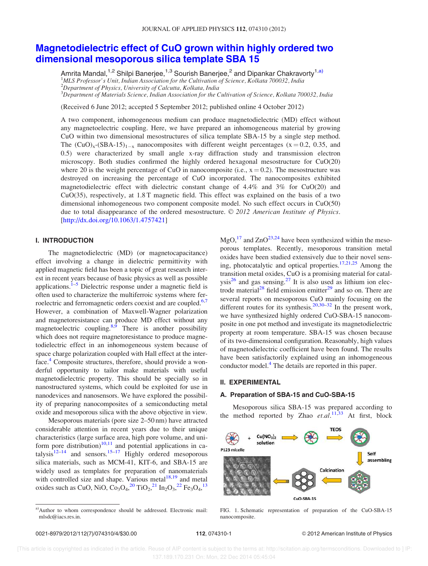# Magnetodielectric effect of CuO grown within highly ordered two dimensional mesoporous silica template SBA 15

Amrita Mandal,<sup>1,2</sup> Shilpi Banerjee,<sup>1,3</sup> Sourish Banerjee,<sup>2</sup> and Dipankar Chakravorty<sup>1,a)</sup> <sup>1</sup>MLS Professor's Unit, Indian Association for the Cultivation of Science, Kolkata 700032, India  $^{2}$ Department of Physics, University of Calcutta, Kolkata, India  $^3$ Department of Materials Science, Indian Association for the Cultivation of Science, Kolkata 700032, India

(Received 6 June 2012; accepted 5 September 2012; published online 4 October 2012)

A two component, inhomogeneous medium can produce magnetodielectric (MD) effect without any magnetoelectric coupling. Here, we have prepared an inhomogeneous material by growing CuO within two dimensional mesostructures of silica template SBA-15 by a single step method. The  $(CuO)_x-(SBA-15)_{1-x}$  nanocomposites with different weight percentages (x = 0.2, 0.35, and 0.5) were characterized by small angle x-ray diffraction study and transmission electron microscopy. Both studies confirmed the highly ordered hexagonal mesostructure for CuO(20) where 20 is the weight percentage of CuO in nanocomposite (i.e.,  $x = 0.2$ ). The mesostructure was destroyed on increasing the percentage of CuO incorporated. The nanocomposites exhibited magnetodielectric effect with dielectric constant change of 4.4% and 3% for CuO(20) and CuO(35), respectively, at 1.8 T magnetic field. This effect was explained on the basis of a two dimensional inhomogeneous two component composite model. No such effect occurs in CuO(50) due to total disappearance of the ordered mesostructure. © 2012 American Institute of Physics. [http://dx.doi.org/10.1063/1.4757421]

## I. INTRODUCTION

The magnetodielectric (MD) (or magnetocapacitance) effect involving a change in dielectric permittivity with applied magnetic field has been a topic of great research interest in recent years because of basic physics as well as possible applications.<sup>1–5</sup> Dielectric response under a magnetic field is often used to characterize the multiferroic systems where ferroelectric and ferromagnetic orders coexist and are coupled.<sup>6,7</sup> However, a combination of Maxwell-Wagner polarization and magnetoresistance can produce MD effect without any magnetoelectric coupling.  $8,9$  There is another possibility which does not require magnetoresistance to produce magnetodielectric effect in an inhomogeneous system because of space charge polarization coupled with Hall effect at the interface.<sup>4</sup> Composite structures, therefore, should provide a wonderful opportunity to tailor make materials with useful magnetodielectric property. This should be specially so in nanostructured systems, which could be exploited for use in nanodevices and nanosensors. We have explored the possibility of preparing nanocomposites of a semiconducting metal oxide and mesoporous silica with the above objective in view.

Mesoporous materials (pore size 2–50 nm) have attracted considerable attention in recent years due to their unique characteristics (large surface area, high pore volume, and uniform pore distribution) $10,11$  and potential applications in catalysis<sup>12–14</sup> and sensors.<sup>15–17</sup> Highly ordered mesoporous silica materials, such as MCM-41, KIT-6, and SBA-15 are widely used as templates for preparation of nanomaterials with controlled size and shape. Various metal $18,19$  and metal oxides such as CuO, NiO,  $Co<sub>3</sub>O<sub>4</sub>,<sup>20</sup> TiO<sub>2</sub>,<sup>21</sup> In<sub>2</sub>O<sub>3</sub>,<sup>22</sup> Fe<sub>3</sub>O<sub>4</sub>,<sup>13</sup>$ 

 $MgO<sub>1</sub><sup>17</sup>$  and  $ZnO<sup>23,24</sup>$  have been synthesized within the mesoporous templates. Recently, mesoporous transition metal oxides have been studied extensively due to their novel sensing, photocatalytic and optical properties. $17,21,25$  Among the transition metal oxides, CuO is a promising material for catal $ysis^{26}$  and gas sensing.<sup>27</sup> It is also used as lithium ion electrode material<sup>28</sup> field emission emitter<sup>29</sup> and so on. There are several reports on mesoporous CuO mainly focusing on the different routes for its synthesis.<sup>20,30–32</sup> In the present work, we have synthesized highly ordered CuO-SBA-15 nanocomposite in one pot method and investigate its magnetodielectric property at room temperature. SBA-15 was chosen because of its two-dimensional configuration. Reasonably, high values of magnetodielectric coefficient have been found. The results have been satisfactorily explained using an inhomogeneous conductor model.<sup>4</sup> The details are reported in this paper.

#### II. EXPERIMENTAL

### A. Preparation of SBA-15 and CuO-SBA-15

Mesoporous silica SBA-15 was prepared according to the method reported by Zhao  $et. al.<sup>11,33</sup>$  At first, block



FIG. 1. Schematic representation of preparation of the CuO-SBA-15 nanocomposite.

a)Author to whom correspondence should be addressed. Electronic mail: mlsdc@iacs.res.in.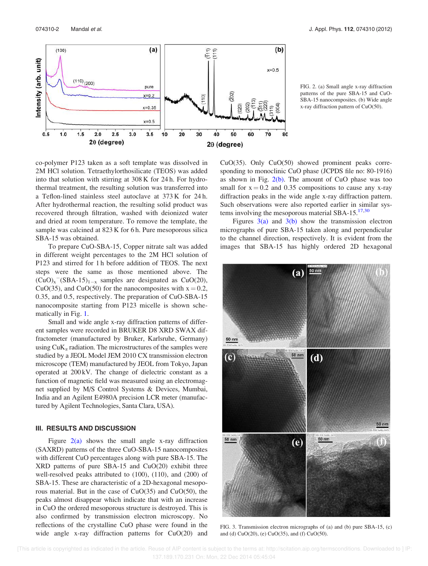

FIG. 2. (a) Small angle x-ray diffraction patterns of the pure SBA-15 and CuO-SBA-15 nanocomposites. (b) Wide angle x-ray diffraction pattern of CuO(50).

co-polymer P123 taken as a soft template was dissolved in 2M HCl solution. Tetraethylorthosilicate (TEOS) was added into that solution with stirring at 308 K for 24 h. For hydrothermal treatment, the resulting solution was transferred into a Teflon-lined stainless steel autoclave at 373 K for 24 h. After hydrothermal reaction, the resulting solid product was recovered through filtration, washed with deionized water and dried at room temperature. To remove the template, the sample was calcined at 823 K for 6 h. Pure mesoporous silica SBA-15 was obtained.

To prepare CuO-SBA-15, Copper nitrate salt was added in different weight percentages to the 2M HCl solution of P123 and stirred for 1 h before addition of TEOS. The next steps were the same as those mentioned above. The  $(CuO)_x$ <sup>-</sup>(SBA-15)<sub>1-x</sub> samples are designated as CuO(20), CuO(35), and CuO(50) for the nanocomposites with  $x = 0.2$ , 0.35, and 0.5, respectively. The preparation of CuO-SBA-15 nanocomposite starting from P123 micelle is shown schematically in Fig. 1.

Small and wide angle x-ray diffraction patterns of different samples were recorded in BRUKER D8 XRD SWAX diffractometer (manufactured by Bruker, Karlsruhe, Germany) using  $\text{CuK}_{\alpha}$  radiation. The microstructures of the samples were studied by a JEOL Model JEM 2010 CX transmission electron microscope (TEM) manufactured by JEOL from Tokyo, Japan operated at 200 kV. The change of dielectric constant as a function of magnetic field was measured using an electromagnet supplied by M/S Control Systems & Devices, Mumbai, India and an Agilent E4980A precision LCR meter (manufactured by Agilent Technologies, Santa Clara, USA).

## III. RESULTS AND DISCUSSION

Figure  $2(a)$  shows the small angle x-ray diffraction (SAXRD) patterns of the three CuO-SBA-15 nanocomposites with different CuO percentages along with pure SBA-15. The XRD patterns of pure SBA-15 and CuO(20) exhibit three well-resolved peaks attributed to (100), (110), and (200) of SBA-15. These are characteristic of a 2D-hexagonal mesoporous material. But in the case of CuO(35) and CuO(50), the peaks almost disappear which indicate that with an increase in CuO the ordered mesoporous structure is destroyed. This is also confirmed by transmission electron microscopy. No reflections of the crystalline CuO phase were found in the wide angle x-ray diffraction patterns for CuO(20) and CuO(35). Only CuO(50) showed prominent peaks corresponding to monoclinic CuO phase (JCPDS file no: 80-1916) as shown in Fig.  $2(b)$ . The amount of CuO phase was too small for  $x = 0.2$  and 0.35 compositions to cause any x-ray diffraction peaks in the wide angle x-ray diffraction pattern. Such observations were also reported earlier in similar systems involving the mesoporous material SBA-15. $17,30$ 

Figures  $3(a)$  and  $3(b)$  show the transmission electron micrographs of pure SBA-15 taken along and perpendicular to the channel direction, respectively. It is evident from the images that SBA-15 has highly ordered 2D hexagonal



FIG. 3. Transmission electron micrographs of (a) and (b) pure SBA-15, (c) and (d) CuO(20), (e) CuO(35), and (f) CuO(50).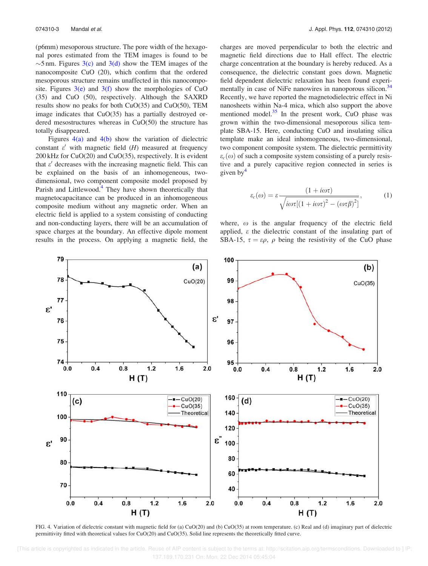(p6mm) mesoporous structure. The pore width of the hexagonal pores estimated from the TEM images is found to be  $\sim$ 5 nm. Figures 3(c) and 3(d) show the TEM images of the nanocomposite CuO (20), which confirm that the ordered mesoporous structure remains unaffected in this nanocomposite. Figures  $3(e)$  and  $3(f)$  show the morphologies of CuO (35) and CuO (50), respectively. Although the SAXRD results show no peaks for both CuO(35) and CuO(50), TEM image indicates that CuO(35) has a partially destroyed ordered mesostructures whereas in CuO(50) the structure has totally disappeared.

Figures  $4(a)$  and  $4(b)$  show the variation of dielectric constant  $\varepsilon'$  with magnetic field (*H*) measured at frequency 200 kHz for CuO(20) and CuO(35), respectively. It is evident that  $\varepsilon'$  decreases with the increasing magnetic field. This can be explained on the basis of an inhomogeneous, twodimensional, two component composite model proposed by Parish and Littlewood. $4$  They have shown theoretically that magnetocapacitance can be produced in an inhomogeneous composite medium without any magnetic order. When an electric field is applied to a system consisting of conducting and non-conducting layers, there will be an accumulation of space charges at the boundary. An effective dipole moment results in the process. On applying a magnetic field, the charges are moved perpendicular to both the electric and magnetic field directions due to Hall effect. The electric charge concentration at the boundary is hereby reduced. As a consequence, the dielectric constant goes down. Magnetic field dependent dielectric relaxation has been found experimentally in case of NiFe nanowires in nanoporous silicon.<sup>34</sup> Recently, we have reported the magnetodielectric effect in Ni nanosheets within Na-4 mica, which also support the above mentioned model. $35$  In the present work, CuO phase was grown within the two-dimensional mesoporous silica template SBA-15. Here, conducting CuO and insulating silica template make an ideal inhomogeneous, two-dimensional, two component composite system. The dielectric permittivity  $\varepsilon_c(\omega)$  of such a composite system consisting of a purely resistive and a purely capacitive region connected in series is given by $\frac{4}{3}$ 

$$
\varepsilon_c(\omega) = \varepsilon \frac{(1 + i\omega\tau)}{\sqrt{i\omega\tau[(1 + i\omega\tau)^2 - (\omega\tau\beta)^2]}},\tag{1}
$$

where,  $\omega$  is the angular frequency of the electric field applied,  $\varepsilon$  the dielectric constant of the insulating part of SBA-15,  $\tau = \varepsilon \rho$ ,  $\rho$  being the resistivity of the CuO phase



FIG. 4. Variation of dielectric constant with magnetic field for (a) CuO(20) and (b) CuO(35) at room temperature. (c) Real and (d) imaginary part of dielectric permittivity fitted with theoretical values for CuO(20) and CuO(35). Solid line represents the theoretically fitted curve.

 [This article is copyrighted as indicated in the article. Reuse of AIP content is subject to the terms at: http://scitation.aip.org/termsconditions. Downloaded to ] IP: 137.189.170.231 On: Mon, 22 Dec 2014 05:45:04